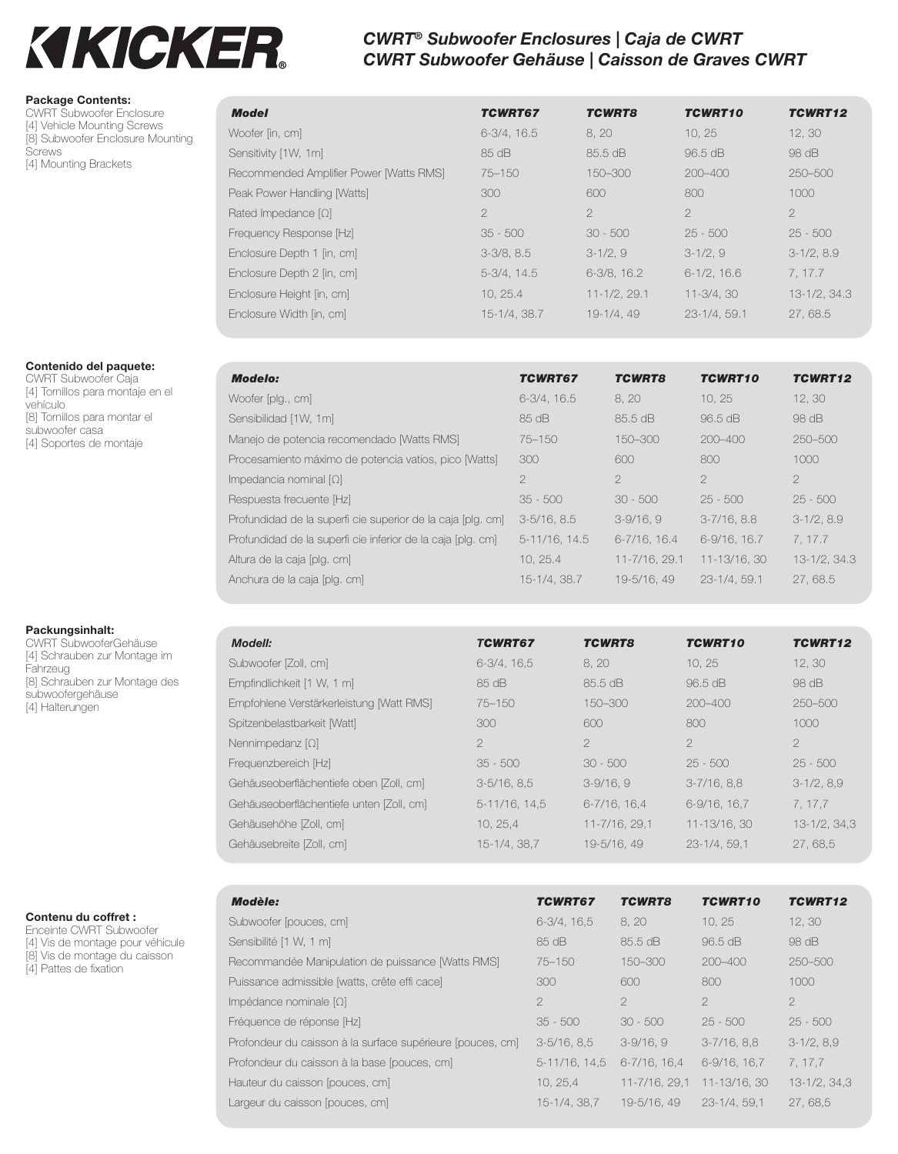# **KIKICKER.**

# *CWRT® Subwoofer Enclosures | Caja de CWRT CWRT Subwoofer Gehäuse | Caisson de Graves CWRT*

#### **Package Contents:**

CWRT Subwoofer Enclosure [4] Vehicle Mounting Screws [8] Subwoofer Enclosure Mounting **Screws** [4] Mounting Brackets

#### **Contenido del paquete:**

CWRT Subwoofer Caja [4] Tornillos para montaje en el vehículo [8] Tornillos para montar el subwoofer casa [4] Soportes de montaje

#### **Packungsinhalt:**

CWRT SubwooferGehäuse [4] Schrauben zur Montage im Fahrzeug [8] Schrauben zur Montage des subwoofergehäuse [4] Halterungen

### **Contenu du coffret :**

Enceinte CWRT Subwoofer [4] Vis de montage pour véhicule [8] Vis de montage du caisson [4] Pattes de fixation

| <b>Model</b>                            | <b>TCWRT67</b>   | <b>TCWRT8</b>     | TCWRT10         | TCWRT12       |
|-----------------------------------------|------------------|-------------------|-----------------|---------------|
| Woofer [in, cm]                         | $6-3/4$ , $16.5$ | 8, 20             | 10, 25          | 12, 30        |
| Sensitivity [1W, 1m]                    | 85 dB            | 85.5 dB           | 96.5 dB         | 98 dB         |
| Recommended Amplifier Power [Watts RMS] | 75-150           | 150-300           | $200 - 400$     | 250-500       |
| Peak Power Handling [Watts]             | 300              | 600               | 800             | 1000          |
| Rated Impedance $[\Omega]$              | $\overline{2}$   | $\mathcal{P}$     | $\mathcal{P}$   | $\mathcal{P}$ |
| Frequency Response [Hz]                 | $35 - 500$       | $30 - 500$        | $25 - 500$      | $25 - 500$    |
| Enclosure Depth 1 [in, cm]              | $3-3/8, 8.5$     | $3-1/2,9$         | $3-1/2,9$       | $3-1/2, 8.9$  |
| Enclosure Depth 2 [in, cm]              | $5-3/4, 14.5$    | 6-3/8, 16.2       | $6-1/2$ , 16.6  | 7, 17.7       |
| Enclosure Height [in, cm]               | 10, 25.4         | $11 - 1/2$ , 29.1 | $11 - 3/4.30$   | 13-1/2, 34.3  |
| Enclosure Width [in, cm]                | 15-1/4, 38.7     | 19-1/4, 49        | $23 - 1/4.59.1$ | 27,68.5       |

| <b>Modelo:</b>                                              | <b>TCWRT67</b>   | <b>TCWRT8</b>     | <b>TCWRT10</b>   | TCWRT12        |
|-------------------------------------------------------------|------------------|-------------------|------------------|----------------|
| Woofer [plg., cm]                                           | $6-3/4$ , $16.5$ | 8, 20             | 10, 25           | 12, 30         |
| Sensibilidad [1W, 1m]                                       | $85 \text{ dB}$  | 85.5 dB           | 96.5 dB          | 98 dB          |
| Manejo de potencia recomendado [Watts RMS]                  | $75 - 150$       | 150-300           | $200 - 400$      | $250 - 500$    |
| Procesamiento máximo de potencia vatios, pico [Watts]       | 300              | 600               | 800              | 1000           |
| Impedancia nominal $[\Omega]$                               | $\overline{2}$   | $\overline{2}$    | $\overline{2}$   | $\overline{2}$ |
| Respuesta frecuente [Hz]                                    | $35 - 500$       | $30 - 500$        | $25 - 500$       | $25 - 500$     |
| Profundidad de la superfi cie superior de la caja [plg. cm] | $3-5/16$ , $8.5$ | $3-9/16.9$        | $3 - 7/16$ , 8.8 | $3-1/2, 8.9$   |
| Profundidad de la superfi cie inferior de la caja [plg. cm] | 5-11/16, 14.5    | $6 - 7/16$ , 16.4 | 6-9/16, 16.7     | 7, 17.7        |
| Altura de la caja [plg. cm]                                 | 10.25.4          | 11-7/16, 29.1     | 11-13/16, 30     | 13-1/2, 34.3   |
| Anchura de la caja [plg. cm]                                | 15-1/4, 38.7     | 19-5/16, 49       | $23 - 1/4.59.1$  | 27,68.5        |

| <b>Modell:</b>                           | <b>TCWRT67</b>   | <b>TCWRT8</b>     | <b>TCWRT10</b>  | TCWRT12       |
|------------------------------------------|------------------|-------------------|-----------------|---------------|
| Subwoofer [Zoll, cm]                     | $6-3/4.16.5$     | 8.20              | 10.25           | 12, 30        |
| Empfindlichkeit [1 W, 1 m]               | 85 dB            | 85.5 dB           | 96.5 dB         | 98 dB         |
| Empfohlene Verstärkerleistung [Watt RMS] | $75 - 150$       | 150-300           | $200 - 400$     | $250 - 500$   |
| Spitzenbelastbarkeit [Watt]              | 300              | 600               | 800             | 1000          |
| Nennimpedanz $[\Omega]$                  | $\overline{2}$   | $\overline{2}$    | $\overline{2}$  | $\mathcal{P}$ |
| Frequenzbereich [Hz]                     | $35 - 500$       | $30 - 500$        | $25 - 500$      | $25 - 500$    |
| Gehäuseoberflächentiefe oben [Zoll, cm]  | $3-5/16$ , $8.5$ | $3-9/16, 9$       | $3-7/16$ , 8,8  | $3-1/2, 8,9$  |
| Gehäuseoberflächentiefe unten [Zoll, cm] | 5-11/16, 14.5    | $6 - 7/16$ , 16.4 | $6-9/16$ , 16.7 | 7, 17, 7      |
| Gehäusehöhe [Zoll, cm]                   | 10, 25, 4        | 11-7/16, 29.1     | 11-13/16, 30    | 13-1/2, 34,3  |
| Gehäusebreite [Zoll, cm]                 | 15-1/4, 38.7     | 19-5/16, 49       | $23 - 1/4.59.1$ | 27,68,5       |

| <b>Modèle:</b>                                             | <b>TCWRT67</b>   | <b>TCWRT8</b>     | TCWRT10           | TCWRT12       |
|------------------------------------------------------------|------------------|-------------------|-------------------|---------------|
| Subwoofer [pouces, cm]                                     | $6-3/4$ , 16.5   | 8.20              | 10.25             | 12, 30        |
| Sensibilité [1 W, 1 m]                                     | $85 \text{ dB}$  | 85.5 dB           | $96.5 \text{ dB}$ | $98$ dB       |
| Recommandée Manipulation de puissance [Watts RMS]          | $75 - 150$       | 150-300           | $200 - 400$       | $250 - 500$   |
| Puissance admissible [watts, crête effi cace]              | 300              | 600               | 800               | 1000          |
| $Impédance$ nominale $[\Omega]$                            | $\mathcal{P}$    | $\mathcal{P}$     | $\mathcal{D}$     | $\mathcal{P}$ |
| Fréquence de réponse [Hz]                                  | $35 - 500$       | $30 - 500$        | $25 - 500$        | $25 - 500$    |
| Profondeur du caisson à la surface supérieure (pouces, cm) | $3-5/16$ , 8.5   | $3-9/16.9$        | $3 - 7/16$ , 8.8  | $3-1/2, 8,9$  |
| Profondeur du caisson à la base (pouces, cm)               | $5-11/16$ , 14.5 | $6 - 7/16$ , 16.4 | 6-9/16, 16.7      | 7, 17, 7      |
| Hauteur du caisson (pouces, cm)                            | 10.25.4          | 11-7/16, 29.1     | 11-13/16, 30      | 13-1/2, 34.3  |
| Largeur du caisson (pouces, cm)                            | 15-1/4, 38.7     | 19-5/16, 49       | $23 - 1/4.59.1$   | 27,68.5       |